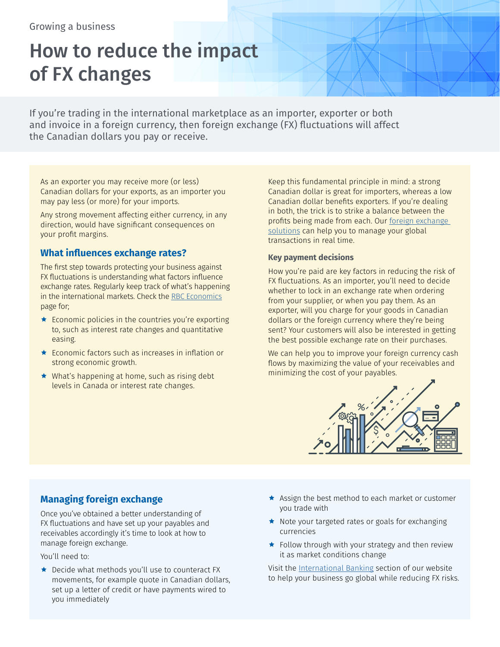# How to reduce the impact of FX changes

If you're trading in the international marketplace as an importer, exporter or both and invoice in a foreign currency, then foreign exchange (FX) fluctuations will affect the Canadian dollars you pay or receive.

As an exporter you may receive more (or less) Canadian dollars for your exports, as an importer you may pay less (or more) for your imports.

Any strong movement affecting either currency, in any direction, would have significant consequences on your profit margins.

## **What influences exchange rates?**

The first step towards protecting your business against FX fluctuations is understanding what factors influence exchange rates. Regularly keep track of what's happening in the international markets. Check the [RBC Economics](http://www.rbc.com/economics/index.html) page for;

- $\star$  Economic policies in the countries you're exporting to, such as interest rate changes and quantitative easing.
- $\star$  Economic factors such as increases in inflation or strong economic growth.
- $\star$  What's happening at home, such as rising debt levels in Canada or interest rate changes.

Keep this fundamental principle in mind: a strong Canadian dollar is great for importers, whereas a low Canadian dollar benefits exporters. If you're dealing in both, the trick is to strike a balance between the profits being made from each. Our [foreign exchange](https://www.rbcroyalbank.com/business/paying-and-receiving/foreign-exchange-services.html)  [solutions](https://www.rbcroyalbank.com/business/paying-and-receiving/foreign-exchange-services.html) can help you to manage your global transactions in real time.

#### **Key payment decisions**

How you're paid are key factors in reducing the risk of FX fluctuations. As an importer, you'll need to decide whether to lock in an exchange rate when ordering from your supplier, or when you pay them. As an exporter, will you charge for your goods in Canadian dollars or the foreign currency where they're being sent? Your customers will also be interested in getting the best possible exchange rate on their purchases.

We can help you to improve your foreign currency cash flows by maximizing the value of your receivables and minimizing the cost of your payables.



## **Managing foreign exchange**

Once you've obtained a better understanding of FX fluctuations and have set up your payables and receivables accordingly it's time to look at how to manage foreign exchange.

You'll need to:

- $\bigstar$  Decide what methods you'll use to counteract FX movements, for example quote in Canadian dollars, set up a letter of credit or have payments wired to you immediately
- $\star$  Assign the best method to each market or customer you trade with
- $\star$  Note your targeted rates or goals for exchanging currencies
- $\star$  Follow through with your strategy and then review it as market conditions change

Visit the [International Banking](https://www.rbcroyalbank.com/business/accounts/international-business-banking.html) section of our website to help your business go global while reducing FX risks.